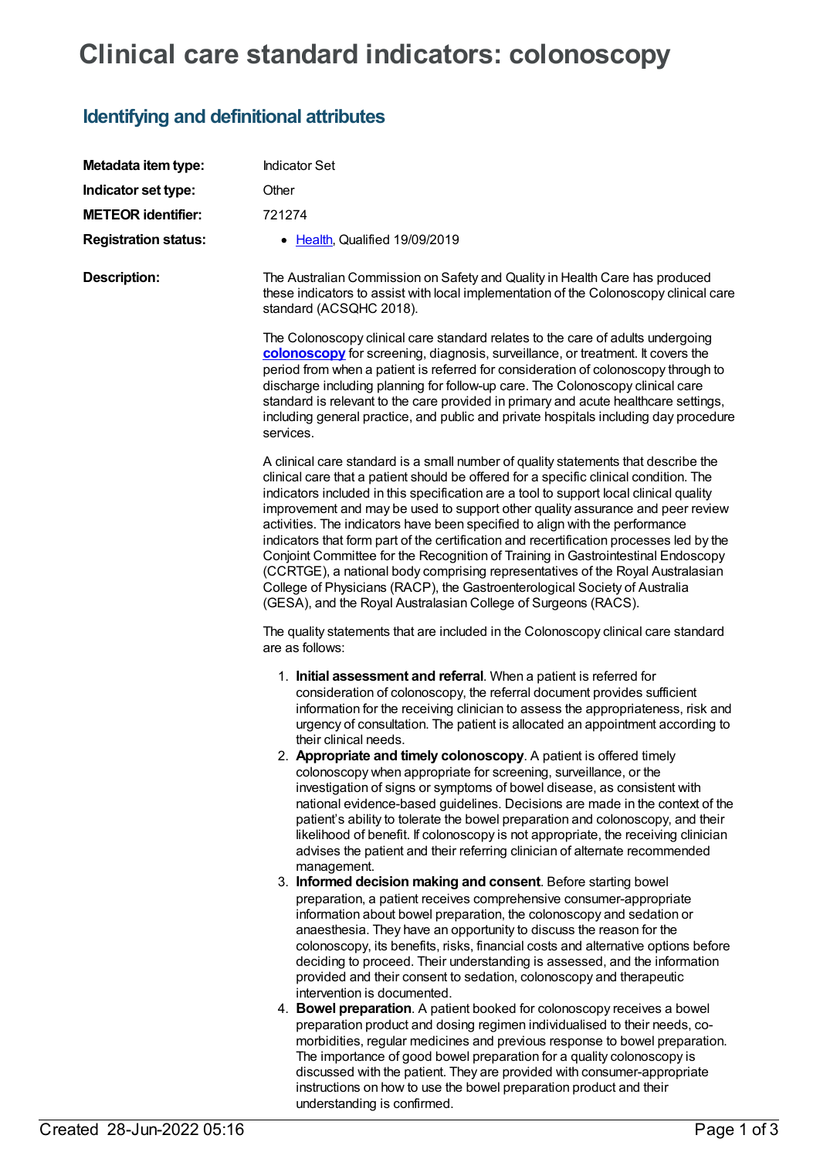## **Clinical care standard indicators: colonoscopy**

## **Identifying and definitional attributes**

| Metadata item type:         | <b>Indicator Set</b>                                                                                                                                                                                                                                                                                                                                                                                                                                                                                                                                                                                                                                                                                                                                                                                                                                                                                                                                                                                                                                                                                                                                                                                                                                                                                                                                                                                                                                                                                                                                                                                                                                                                                                                                                                                                                                                                                                                                                             |
|-----------------------------|----------------------------------------------------------------------------------------------------------------------------------------------------------------------------------------------------------------------------------------------------------------------------------------------------------------------------------------------------------------------------------------------------------------------------------------------------------------------------------------------------------------------------------------------------------------------------------------------------------------------------------------------------------------------------------------------------------------------------------------------------------------------------------------------------------------------------------------------------------------------------------------------------------------------------------------------------------------------------------------------------------------------------------------------------------------------------------------------------------------------------------------------------------------------------------------------------------------------------------------------------------------------------------------------------------------------------------------------------------------------------------------------------------------------------------------------------------------------------------------------------------------------------------------------------------------------------------------------------------------------------------------------------------------------------------------------------------------------------------------------------------------------------------------------------------------------------------------------------------------------------------------------------------------------------------------------------------------------------------|
| Indicator set type:         | Other                                                                                                                                                                                                                                                                                                                                                                                                                                                                                                                                                                                                                                                                                                                                                                                                                                                                                                                                                                                                                                                                                                                                                                                                                                                                                                                                                                                                                                                                                                                                                                                                                                                                                                                                                                                                                                                                                                                                                                            |
| <b>METEOR identifier:</b>   | 721274                                                                                                                                                                                                                                                                                                                                                                                                                                                                                                                                                                                                                                                                                                                                                                                                                                                                                                                                                                                                                                                                                                                                                                                                                                                                                                                                                                                                                                                                                                                                                                                                                                                                                                                                                                                                                                                                                                                                                                           |
| <b>Registration status:</b> | • Health, Qualified 19/09/2019                                                                                                                                                                                                                                                                                                                                                                                                                                                                                                                                                                                                                                                                                                                                                                                                                                                                                                                                                                                                                                                                                                                                                                                                                                                                                                                                                                                                                                                                                                                                                                                                                                                                                                                                                                                                                                                                                                                                                   |
| <b>Description:</b>         | The Australian Commission on Safety and Quality in Health Care has produced<br>these indicators to assist with local implementation of the Colonoscopy clinical care<br>standard (ACSQHC 2018).                                                                                                                                                                                                                                                                                                                                                                                                                                                                                                                                                                                                                                                                                                                                                                                                                                                                                                                                                                                                                                                                                                                                                                                                                                                                                                                                                                                                                                                                                                                                                                                                                                                                                                                                                                                  |
|                             | The Colonoscopy clinical care standard relates to the care of adults undergoing<br>colonoscopy for screening, diagnosis, surveillance, or treatment. It covers the<br>period from when a patient is referred for consideration of colonoscopy through to<br>discharge including planning for follow-up care. The Colonoscopy clinical care<br>standard is relevant to the care provided in primary and acute healthcare settings,<br>including general practice, and public and private hospitals including day procedure<br>services.                                                                                                                                                                                                                                                                                                                                                                                                                                                                                                                                                                                                                                                                                                                                                                                                                                                                                                                                                                                                                                                                                                                                                                                                                                                                                                                                                                                                                                           |
|                             | A clinical care standard is a small number of quality statements that describe the<br>clinical care that a patient should be offered for a specific clinical condition. The<br>indicators included in this specification are a tool to support local clinical quality<br>improvement and may be used to support other quality assurance and peer review<br>activities. The indicators have been specified to align with the performance<br>indicators that form part of the certification and recertification processes led by the<br>Conjoint Committee for the Recognition of Training in Gastrointestinal Endoscopy<br>(CCRTGE), a national body comprising representatives of the Royal Australasian<br>College of Physicians (RACP), the Gastroenterological Society of Australia<br>(GESA), and the Royal Australasian College of Surgeons (RACS).                                                                                                                                                                                                                                                                                                                                                                                                                                                                                                                                                                                                                                                                                                                                                                                                                                                                                                                                                                                                                                                                                                                         |
|                             | The quality statements that are included in the Colonoscopy clinical care standard<br>are as follows:                                                                                                                                                                                                                                                                                                                                                                                                                                                                                                                                                                                                                                                                                                                                                                                                                                                                                                                                                                                                                                                                                                                                                                                                                                                                                                                                                                                                                                                                                                                                                                                                                                                                                                                                                                                                                                                                            |
|                             | 1. Initial assessment and referral. When a patient is referred for<br>consideration of colonoscopy, the referral document provides sufficient<br>information for the receiving clinician to assess the appropriateness, risk and<br>urgency of consultation. The patient is allocated an appointment according to<br>their clinical needs.<br>2. Appropriate and timely colonoscopy. A patient is offered timely<br>colonoscopy when appropriate for screening, surveillance, or the<br>investigation of signs or symptoms of bowel disease, as consistent with<br>national evidence-based guidelines. Decisions are made in the context of the<br>patient's ability to tolerate the bowel preparation and colonoscopy, and their<br>likelihood of benefit. If colonoscopy is not appropriate, the receiving clinician<br>advises the patient and their referring clinician of alternate recommended<br>management.<br>3. Informed decision making and consent. Before starting bowel<br>preparation, a patient receives comprehensive consumer-appropriate<br>information about bowel preparation, the colonoscopy and sedation or<br>anaesthesia. They have an opportunity to discuss the reason for the<br>colonoscopy, its benefits, risks, financial costs and alternative options before<br>deciding to proceed. Their understanding is assessed, and the information<br>provided and their consent to sedation, colonoscopy and therapeutic<br>intervention is documented.<br>4. Bowel preparation. A patient booked for colonoscopy receives a bowel<br>preparation product and dosing regimen individualised to their needs, co-<br>morbidities, regular medicines and previous response to bowel preparation.<br>The importance of good bowel preparation for a quality colonoscopy is<br>discussed with the patient. They are provided with consumer-appropriate<br>instructions on how to use the bowel preparation product and their<br>understanding is confirmed. |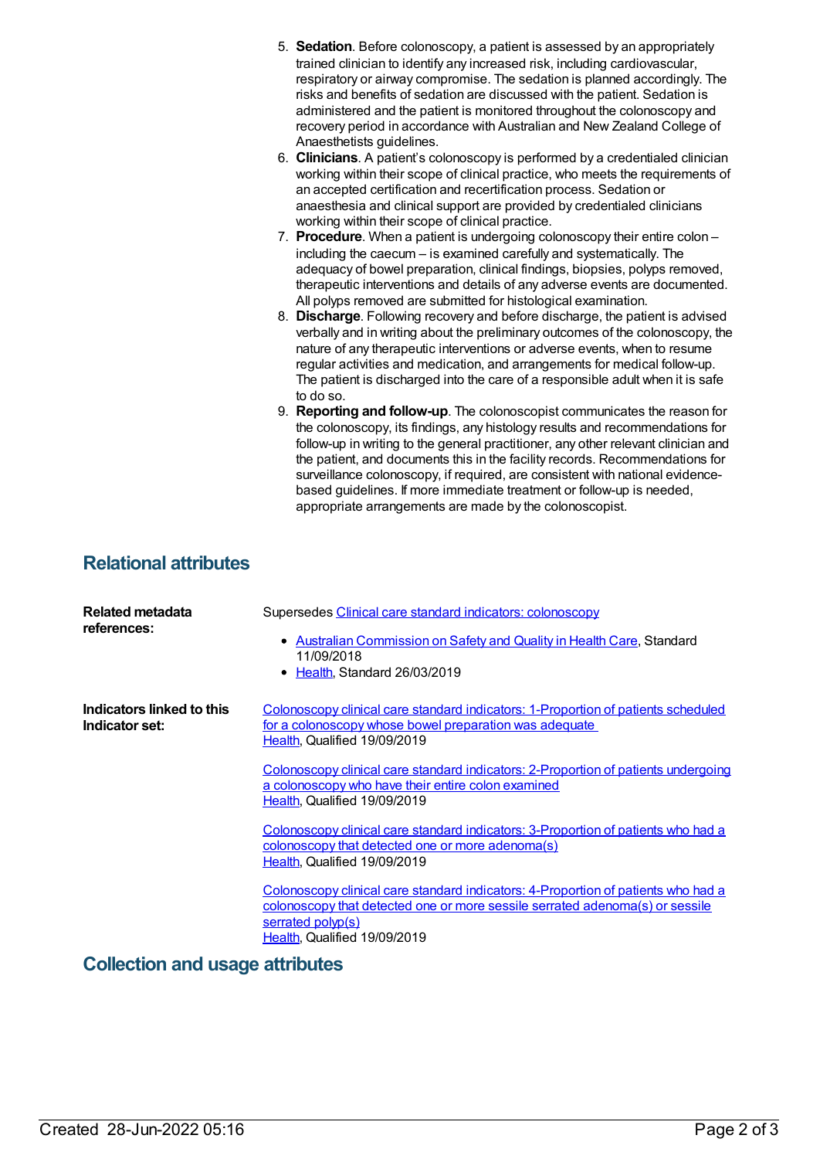|                              | 5. Sedation. Before colonoscopy, a patient is assessed by an appropriately<br>trained clinician to identify any increased risk, including cardiovascular,<br>respiratory or airway compromise. The sedation is planned accordingly. The<br>risks and benefits of sedation are discussed with the patient. Sedation is<br>administered and the patient is monitored throughout the colonoscopy and<br>recovery period in accordance with Australian and New Zealand College of<br>Anaesthetists guidelines.<br>6. Clinicians. A patient's colonoscopy is performed by a credentialed clinician<br>working within their scope of clinical practice, who meets the requirements of<br>an accepted certification and recertification process. Sedation or<br>anaesthesia and clinical support are provided by credentialed clinicians<br>working within their scope of clinical practice.<br>7. Procedure. When a patient is undergoing colonoscopy their entire colon -<br>including the caecum - is examined carefully and systematically. The<br>adequacy of bowel preparation, clinical findings, biopsies, polyps removed,<br>therapeutic interventions and details of any adverse events are documented.<br>All polyps removed are submitted for histological examination.<br>8. Discharge. Following recovery and before discharge, the patient is advised<br>verbally and in writing about the preliminary outcomes of the colonoscopy, the<br>nature of any therapeutic interventions or adverse events, when to resume<br>regular activities and medication, and arrangements for medical follow-up.<br>The patient is discharged into the care of a responsible adult when it is safe<br>to do so.<br>9. Reporting and follow-up. The colonoscopist communicates the reason for<br>the colonoscopy, its findings, any histology results and recommendations for<br>follow-up in writing to the general practitioner, any other relevant clinician and<br>the patient, and documents this in the facility records. Recommendations for<br>surveillance colonoscopy, if required, are consistent with national evidence-<br>based guidelines. If more immediate treatment or follow-up is needed,<br>appropriate arrangements are made by the colonoscopist. |
|------------------------------|-------------------------------------------------------------------------------------------------------------------------------------------------------------------------------------------------------------------------------------------------------------------------------------------------------------------------------------------------------------------------------------------------------------------------------------------------------------------------------------------------------------------------------------------------------------------------------------------------------------------------------------------------------------------------------------------------------------------------------------------------------------------------------------------------------------------------------------------------------------------------------------------------------------------------------------------------------------------------------------------------------------------------------------------------------------------------------------------------------------------------------------------------------------------------------------------------------------------------------------------------------------------------------------------------------------------------------------------------------------------------------------------------------------------------------------------------------------------------------------------------------------------------------------------------------------------------------------------------------------------------------------------------------------------------------------------------------------------------------------------------------------------------------------------------------------------------------------------------------------------------------------------------------------------------------------------------------------------------------------------------------------------------------------------------------------------------------------------------------------------------------------------------------------------------------------------------------------------------------------------------------------------|
| <b>Relational attributes</b> |                                                                                                                                                                                                                                                                                                                                                                                                                                                                                                                                                                                                                                                                                                                                                                                                                                                                                                                                                                                                                                                                                                                                                                                                                                                                                                                                                                                                                                                                                                                                                                                                                                                                                                                                                                                                                                                                                                                                                                                                                                                                                                                                                                                                                                                                   |
| <b>Related metadata</b>      | Supersedes Clinical care standard indicators: colonoscopy                                                                                                                                                                                                                                                                                                                                                                                                                                                                                                                                                                                                                                                                                                                                                                                                                                                                                                                                                                                                                                                                                                                                                                                                                                                                                                                                                                                                                                                                                                                                                                                                                                                                                                                                                                                                                                                                                                                                                                                                                                                                                                                                                                                                         |

| Related metadata<br>references:             | Supersedes Clinical care standard indicators: colonoscopy<br>• Australian Commission on Safety and Quality in Health Care, Standard<br>11/09/2018<br>• Health, Standard 26/03/2019                                     |
|---------------------------------------------|------------------------------------------------------------------------------------------------------------------------------------------------------------------------------------------------------------------------|
| Indicators linked to this<br>Indicator set: | <u>Colonoscopy clinical care standard indicators: 1-Proportion of patients scheduled</u><br><u>for a colonoscopy whose bowel preparation was adequate</u><br>Health, Qualified 19/09/2019                              |
|                                             | Colonoscopy clinical care standard indicators: 2-Proportion of patients undergoing<br>a colonoscopy who have their entire colon examined<br>Health, Qualified 19/09/2019                                               |
|                                             | <u>Colonoscopy clinical care standard indicators: 3-Proportion of patients who had a</u><br><u>colonoscopy that detected one or more adenoma(s)</u><br>Health, Qualified 19/09/2019                                    |
|                                             | Colonoscopy clinical care standard indicators: 4-Proportion of patients who had a<br>colonoscopy that detected one or more sessile serrated adenoma(s) or sessile<br>serrated polyp(s)<br>Health, Qualified 19/09/2019 |

**Collection and usage attributes**